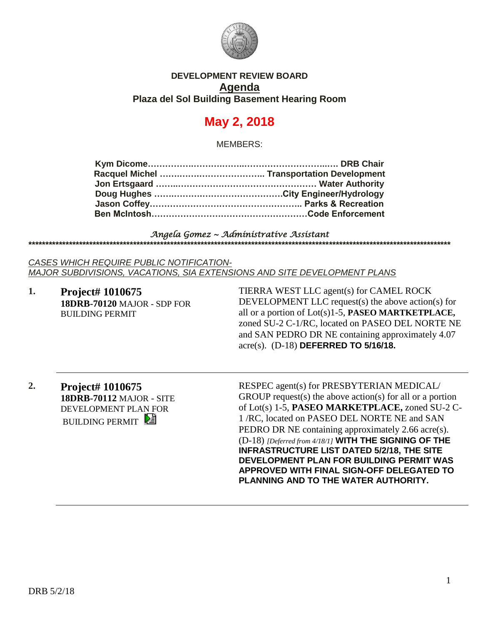

#### **DEVELOPMENT REVIEW BOARD Agenda Plaza del Sol Building Basement Hearing Room**

# **May 2, 2018**

MEMBERS:

#### *Angela Gomez ~ Administrative Assistant*  **\*\*\*\*\*\*\*\*\*\*\*\*\*\*\*\*\*\*\*\*\*\*\*\*\*\*\*\*\*\*\*\*\*\*\*\*\*\*\*\*\*\*\*\*\*\*\*\*\*\*\*\*\*\*\*\*\*\*\*\*\*\*\*\*\*\*\*\*\*\*\*\*\*\*\*\*\*\*\*\*\*\*\*\*\*\*\*\*\*\*\*\*\*\*\*\*\*\*\*\*\*\*\*\*\*\*\*\*\*\*\*\*\*\*\*\*\*\*\*\*\*\*\*\*\***

*CASES WHICH REQUIRE PUBLIC NOTIFICATION-MAJOR SUBDIVISIONS, VACATIONS, SIA EXTENSIONS AND SITE DEVELOPMENT PLANS*

**1. Project# 1010675 18DRB-70120** MAJOR - SDP FOR BUILDING PERMIT

TIERRA WEST LLC agent(s) for CAMEL ROCK DEVELOPMENT LLC request(s) the above action(s) for all or a portion of Lot(s)1-5, **PASEO MARTKETPLACE,** zoned SU-2 C-1/RC, located on PASEO DEL NORTE NE and SAN PEDRO DR NE containing approximately 4.07 acre(s). (D-18) **DEFERRED TO 5/16/18.**

**2. Project# 1010675 18DRB-70112** MAJOR - SITE DEVELOPMENT PLAN FOR **BUILDING PERMIT** 

RESPEC agent(s) for PRESBYTERIAN MEDICAL/ GROUP request(s) the above action(s) for all or a portion of Lot(s) 1-5, **PASEO MARKETPLACE,** zoned SU-2 C-1 /RC, located on PASEO DEL NORTE NE and SAN PEDRO DR NE containing approximately 2.66 acre(s). (D-18) *[Deferred from 4/18/1]* **WITH THE SIGNING OF THE INFRASTRUCTURE LIST DATED 5/2/18, THE SITE DEVELOPMENT PLAN FOR BUILDING PERMIT WAS APPROVED WITH FINAL SIGN-OFF DELEGATED TO PLANNING AND TO THE WATER AUTHORITY.**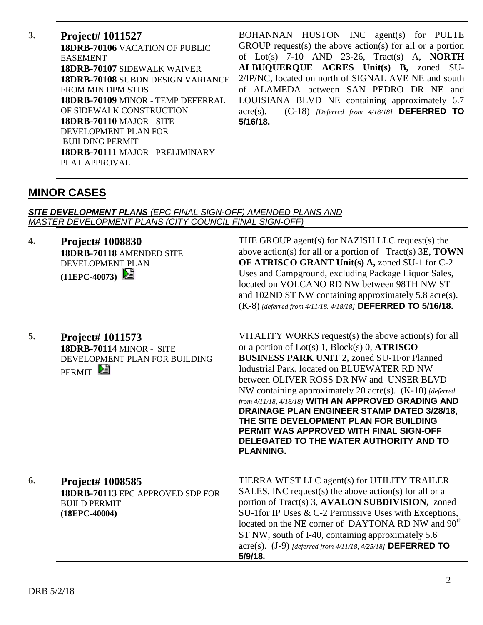**3. Project# 1011527 18DRB-70106** VACATION OF PUBLIC EASEMENT **18DRB-70107** SIDEWALK WAIVER **18DRB-70108** SUBDN DESIGN VARIANCE FROM MIN DPM STDS **18DRB-70109** MINOR - TEMP DEFERRAL OF SIDEWALK CONSTRUCTION **18DRB-70110** MAJOR - SITE DEVELOPMENT PLAN FOR BUILDING PERMIT **18DRB-70111** MAJOR - PRELIMINARY PLAT APPROVAL

BOHANNAN HUSTON INC agent(s) for PULTE GROUP request(s) the above action(s) for all or a portion of Lot(s) 7-10 AND 23-26, Tract(s) A, **NORTH ALBUQUERQUE ACRES Unit(s) B,** zoned SU-2/IP/NC, located on north of SIGNAL AVE NE and south of ALAMEDA between SAN PEDRO DR NE and LOUISIANA BLVD NE containing approximately 6.7 acre(s). (C-18) *[Deferred from 4/18/18]* **DEFERRED TO 5/16/18.** 

### **MINOR CASES**

#### *SITE DEVELOPMENT PLANS (EPC FINAL SIGN-OFF) AMENDED PLANS AND MASTER DEVELOPMENT PLANS (CITY COUNCIL FINAL SIGN-OFF)*

**4. Project# 1008830 18DRB-70118** AMENDED SITE DEVELOPMENT PLAN **(11EPC-40073)** 

THE GROUP agent(s) for NAZISH LLC request(s) the above action(s) for all or a portion of Tract(s) 3E, **TOWN OF ATRISCO GRANT Unit(s) A,** zoned SU-1 for C-2 Uses and Campground, excluding Package Liquor Sales, located on VOLCANO RD NW between 98TH NW ST and 102ND ST NW containing approximately 5.8 acre(s). (K-8) *[deferred from 4/11/18. 4/18/18]* **DEFERRED TO 5/16/18.**

**5. Project# 1011573 18DRB-70114** MINOR - SITE DEVELOPMENT PLAN FOR BUILDING PERMIT<sup>[2]</sup>

VITALITY WORKS request(s) the above action(s) for all or a portion of Lot(s) 1, Block(s) 0, **ATRISCO BUSINESS PARK UNIT 2,** zoned SU-1For Planned Industrial Park, located on BLUEWATER RD NW between OLIVER ROSS DR NW and UNSER BLVD NW containing approximately 20 acre(s). (K-10) *[deferred from 4/11/18, 4/18/18]* **WITH AN APPROVED GRADING AND DRAINAGE PLAN ENGINEER STAMP DATED 3/28/18, THE SITE DEVELOPMENT PLAN FOR BUILDING PERMIT WAS APPROVED WITH FINAL SIGN-OFF DELEGATED TO THE WATER AUTHORITY AND TO PLANNING.**

| 6. | <b>Project# 1008585</b><br>18DRB-70113 EPC APPROVED SDP FOR<br><b>BUILD PERMIT</b><br>$(18EPC-40004)$ | TIERRA WEST LLC agent(s) for UTILITY TRAILER<br>SALES, INC request(s) the above action(s) for all or a<br>portion of Tract(s) 3, AVALON SUBDIVISION, zoned<br>SU-1for IP Uses & C-2 Permissive Uses with Exceptions,<br>located on the NE corner of DAYTONA RD NW and 90 <sup>th</sup><br>ST NW, south of I-40, containing approximately 5.6<br>acre(s). $(J-9)$ [deferred from 4/11/18, 4/25/18] DEFERRED TO |
|----|-------------------------------------------------------------------------------------------------------|---------------------------------------------------------------------------------------------------------------------------------------------------------------------------------------------------------------------------------------------------------------------------------------------------------------------------------------------------------------------------------------------------------------|
|    | 5/9/18.                                                                                               |                                                                                                                                                                                                                                                                                                                                                                                                               |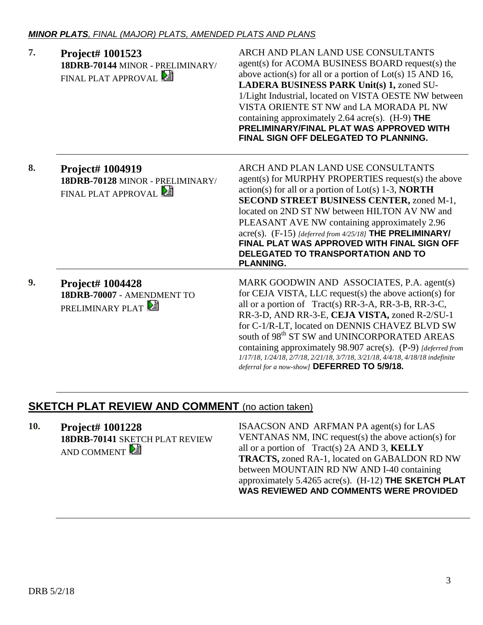| 7. | Project# 1001523<br>18DRB-70144 MINOR - PRELIMINARY/<br>FINAL PLAT APPROVAL | ARCH AND PLAN LAND USE CONSULTANTS<br>agent(s) for ACOMA BUSINESS BOARD request(s) the<br>above action(s) for all or a portion of $Lot(s)$ 15 AND 16,<br>LADERA BUSINESS PARK Unit(s) 1, zoned SU-<br>1/Light Industrial, located on VISTA OESTE NW between<br>VISTA ORIENTE ST NW and LA MORADA PL NW<br>containing approximately 2.64 acre(s). $(H-9)$ THE<br>PRELIMINARY/FINAL PLAT WAS APPROVED WITH<br>FINAL SIGN OFF DELEGATED TO PLANNING.                                                                               |
|----|-----------------------------------------------------------------------------|---------------------------------------------------------------------------------------------------------------------------------------------------------------------------------------------------------------------------------------------------------------------------------------------------------------------------------------------------------------------------------------------------------------------------------------------------------------------------------------------------------------------------------|
| 8. | Project# 1004919<br>18DRB-70128 MINOR - PRELIMINARY/<br>FINAL PLAT APPROVAL | ARCH AND PLAN LAND USE CONSULTANTS<br>agent(s) for MURPHY PROPERTIES request(s) the above<br>$action(s)$ for all or a portion of $Lot(s)$ 1-3, <b>NORTH</b><br>SECOND STREET BUSINESS CENTER, zoned M-1,<br>located on 2ND ST NW between HILTON AV NW and<br>PLEASANT AVE NW containing approximately 2.96<br>$\text{acre}(s)$ . (F-15) [deferred from 4/25/18] THE PRELIMINARY]<br><b>FINAL PLAT WAS APPROVED WITH FINAL SIGN OFF</b><br>DELEGATED TO TRANSPORTATION AND TO<br><b>PLANNING.</b>                                |
| 9. | Project# 1004428<br>18DRB-70007 - AMENDMENT TO<br><b>PRELIMINARY PLAT</b>   | MARK GOODWIN AND ASSOCIATES, P.A. agent(s)<br>for CEJA VISTA, LLC request(s) the above action(s) for<br>all or a portion of Tract(s) RR-3-A, RR-3-B, RR-3-C,<br>RR-3-D, AND RR-3-E, CEJA VISTA, zoned R-2/SU-1<br>for C-1/R-LT, located on DENNIS CHAVEZ BLVD SW<br>south of 98 <sup>th</sup> ST SW and UNINCORPORATED AREAS<br>containing approximately 98.907 acre(s). (P-9) [deferred from<br>1/17/18, 1/24/18, 2/7/18, 2/21/18, 3/7/18, 3/21/18, 4/4/18, 4/18/18 indefinite<br>deferral for a now-show] DEFERRED TO 5/9/18. |

# **SKETCH PLAT REVIEW AND COMMENT** (no action taken)

**10. Project# 1001228 18DRB-70141** SKETCH PLAT REVIEW AND COMMENT

ISAACSON AND ARFMAN PA agent(s) for LAS VENTANAS NM, INC request(s) the above action(s) for all or a portion of Tract(s) 2A AND 3, **KELLY TRACTS,** zoned RA-1, located on GABALDON RD NW between MOUNTAIN RD NW AND I-40 containing approximately 5.4265 acre(s). (H-12) **THE SKETCH PLAT WAS REVIEWED AND COMMENTS WERE PROVIDED**